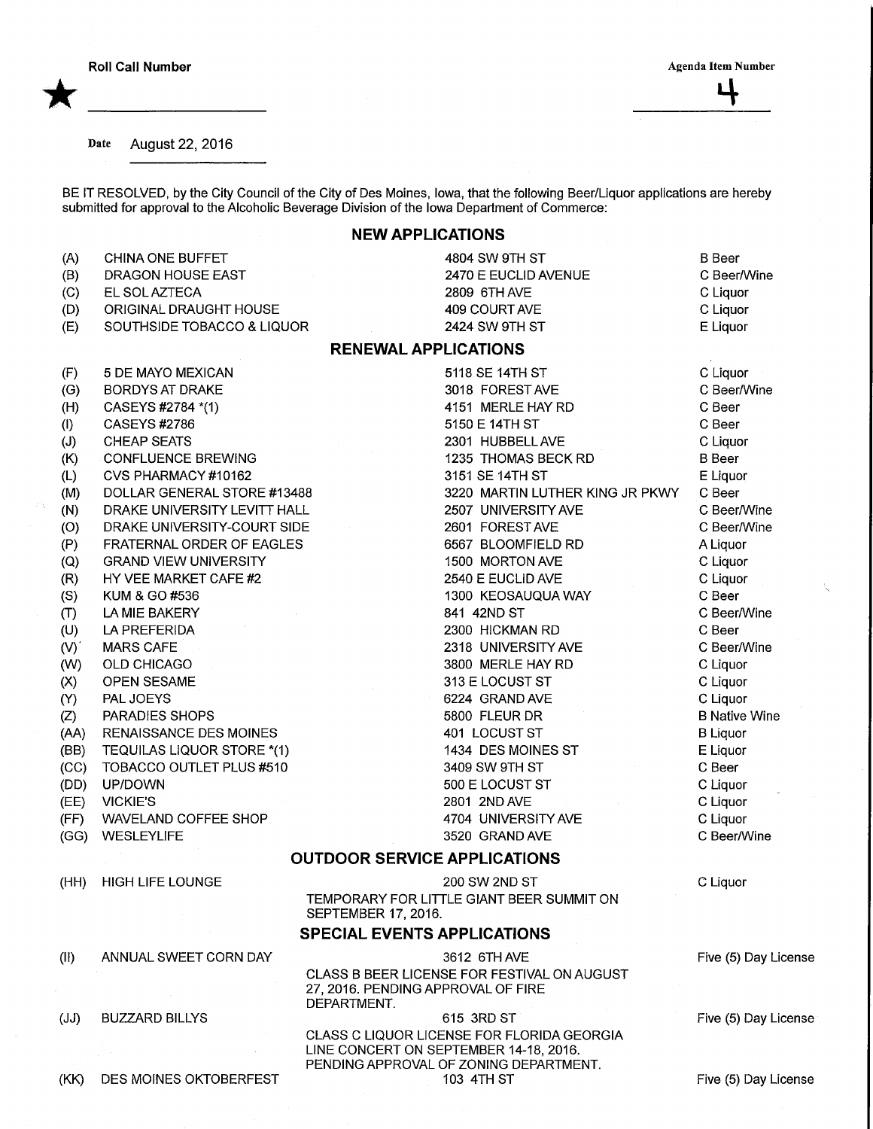\*

÷,

## Date August 22, 2016

BE IT RESOLVED, by the City Council of the City of Des Moines, Iowa, that the following Beer/Liquor applications are hereb submitted for approval to the Alcoholic Beverage Division of the Iowa Department of Commerce:

## NEW APPLICATIONS

| (A)       | <b>CHINA ONE BUFFET</b>       | 4804 SW 9TH ST                                                   | <b>B</b> Beer        |
|-----------|-------------------------------|------------------------------------------------------------------|----------------------|
| (B)       | DRAGON HOUSE EAST             | 2470 E EUCLID AVENUE                                             | C Beer/Wine          |
| (C)       | EL SOL AZTECA                 | 2809 6TH AVE                                                     | C Liquor             |
| (D)       | ORIGINAL DRAUGHT HOUSE        | 409 COURT AVE                                                    | C Liquor             |
| (E)       | SOUTHSIDE TOBACCO & LIQUOR    | 2424 SW 9TH ST                                                   | E Liquor             |
|           |                               | <b>RENEWAL APPLICATIONS</b>                                      |                      |
| (F)       | 5 DE MAYO MEXICAN             | 5118 SE 14TH ST                                                  | C Liquor             |
| (G)       | <b>BORDYS AT DRAKE</b>        | 3018 FOREST AVE                                                  | C Beer/Wine          |
| (H)       | CASEYS #2784 *(1)             | 4151 MERLE HAY RD                                                | C Beer               |
| (1)       | <b>CASEYS #2786</b>           | 5150 E 14TH ST                                                   | C Beer               |
| (J)       | <b>CHEAP SEATS</b>            | 2301 HUBBELL AVE                                                 | C Liquor             |
| (K)       | CONFLUENCE BREWING            | 1235 THOMAS BECK RD                                              | <b>B</b> Beer        |
| (L)       | CVS PHARMACY #10162           | 3151 SE 14TH ST                                                  | E Liquor             |
| (M)       | DOLLAR GENERAL STORE #13488   | 3220 MARTIN LUTHER KING JR PKWY                                  | C Beer               |
| (N)       | DRAKE UNIVERSITY LEVITT HALL  | 2507 UNIVERSITY AVE                                              | C Beer/Wine          |
| (O)       | DRAKE UNIVERSITY-COURT SIDE   | 2601 FOREST AVE                                                  | C Beer/Wine          |
| (P)       | FRATERNAL ORDER OF EAGLES     | 6567 BLOOMFIELD RD                                               | A Liquor             |
| (Q)       | <b>GRAND VIEW UNIVERSITY</b>  | 1500 MORTON AVE                                                  | C Liquor             |
| (R)       | HY VEE MARKET CAFE #2         | 2540 E EUCLID AVE                                                | C Liquor             |
| (S)       | KUM & GO #536                 | 1300 KEOSAUQUA WAY                                               | C Beer               |
| (T)       | LA MIE BAKERY                 | 841 42ND ST                                                      | C Beer/Wine          |
| (U)       | LA PREFERIDA                  | 2300 HICKMAN RD                                                  | C Beer               |
| $(V)^{2}$ | <b>MARS CAFE</b>              | 2318 UNIVERSITY AVE                                              | C Beer/Wine          |
| (W)       | OLD CHICAGO                   | 3800 MERLE HAY RD                                                | C Liquor             |
| (X)       | OPEN SESAME                   | 313 E LOCUST ST                                                  | C Liquor             |
| (Y)       | PAL JOEYS                     | 6224 GRAND AVE                                                   | C Liquor             |
| (Z)       | PARADIES SHOPS                | 5800 FLEUR DR                                                    | <b>B Native Wine</b> |
| (AA)      | <b>RENAISSANCE DES MOINES</b> | 401 LOCUST ST                                                    | <b>B</b> Liquor      |
| (BB)      | TEQUILAS LIQUOR STORE *(1)    | 1434 DES MOINES ST                                               | E Liquor             |
| (CC)      | TOBACCO OUTLET PLUS #510      | 3409 SW 9TH ST                                                   | C Beer               |
| (DD)      | UP/DOWN                       | 500 E LOCUST ST                                                  | C Liquor             |
| (EE)      | <b>VICKIE'S</b>               | 2801 2ND AVE                                                     | C Liquor             |
| (FF)      | WAVELAND COFFEE SHOP          | 4704 UNIVERSITY AVE                                              | C Liquor             |
| (GG)      | <b>WESLEYLIFE</b>             | 3520 GRAND AVE                                                   | C Beer/Wine          |
|           |                               | <b>OUTDOOR SERVICE APPLICATIONS</b>                              |                      |
| (HH)      | <b>HIGH LIFE LOUNGE</b>       | 200 SW 2ND ST                                                    | C Liquor             |
|           |                               | TEMPORARY FOR LITTLE GIANT BEER SUMMIT ON<br>SEPTEMBER 17, 2016. |                      |
|           |                               | <b>SPECIAL EVENTS APPLICATIONS</b>                               |                      |
|           |                               |                                                                  |                      |
| (II)      | ANNUAL SWEET CORN DAY         | 3612 6TH AVE<br>CLASS B BEER LICENSE FOR FESTIVAL ON AUGUST      | Five (5) Day License |
|           |                               | 27, 2016. PENDING APPROVAL OF FIRE                               |                      |
|           |                               | DEPARTMENT.                                                      |                      |
| (JJ)      | <b>BUZZARD BILLYS</b>         | 615 3RD ST                                                       | Five (5) Day License |
|           |                               | CLASS C LIQUOR LICENSE FOR FLORIDA GEORGIA                       |                      |
|           |                               | LINE CONCERT ON SEPTEMBER 14-18, 2016.                           |                      |
| (KK)      | DES MOINES OKTOBERFEST        | PENDING APPROVAL OF ZONING DEPARTMENT.<br>103 4TH ST             | Five (5) Day License |
|           |                               |                                                                  |                      |

Five (5) Day License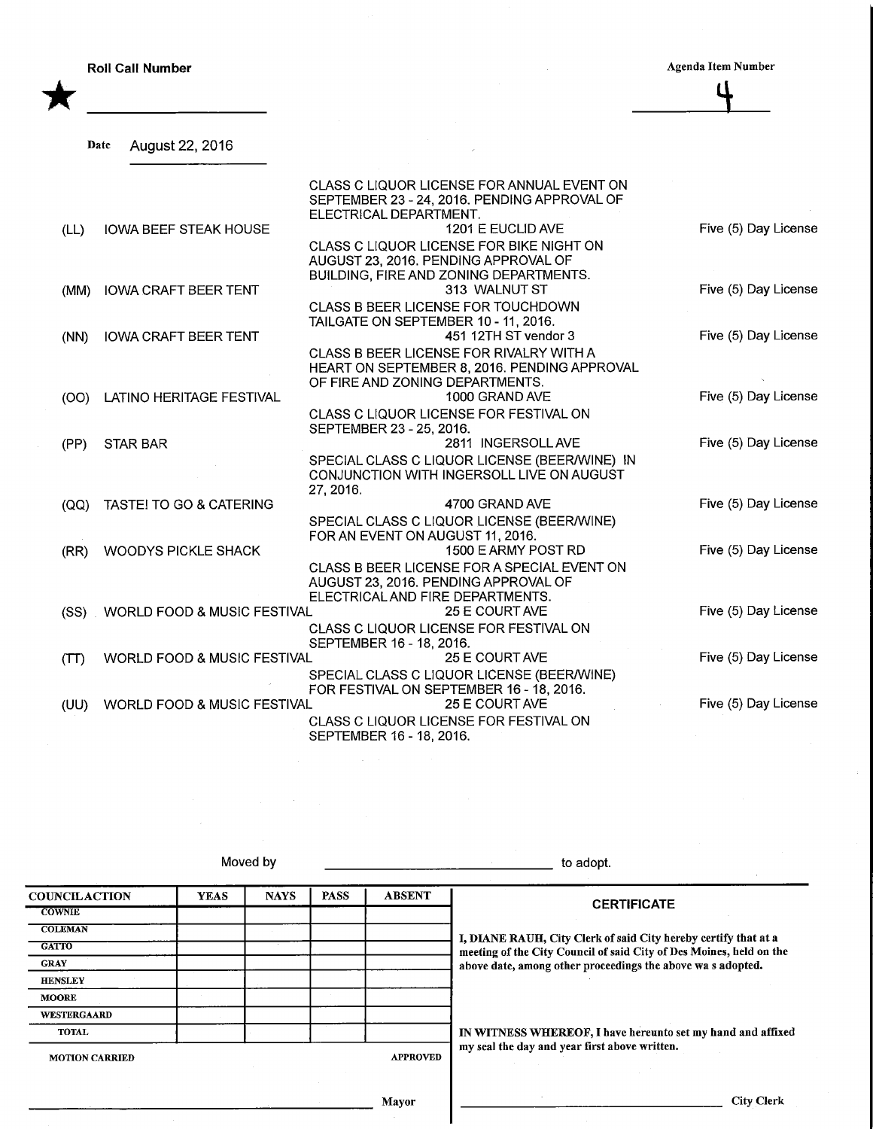\*

**Roll Call Number Agents Agents Agents Agents Agents Agents Agents Agents Agents Agents Agents Agents Agents Agents Agents Agents Agents Agents Agents Agents Agents Agents Agents Agents Agents Agents Agents Agents Agents A** ť

| Date | August 22, 2016 |  |  |
|------|-----------------|--|--|
|      |                 |  |  |

|      |                                        | CLASS C LIQUOR LICENSE FOR ANNUAL EVENT ON<br>SEPTEMBER 23 - 24, 2016. PENDING APPROVAL OF |                      |
|------|----------------------------------------|--------------------------------------------------------------------------------------------|----------------------|
| (LL) | <b>IOWA BEEF STEAK HOUSE</b>           | ELECTRICAL DEPARTMENT.<br>1201 E EUCLID AVE                                                | Five (5) Day License |
|      |                                        | CLASS C LIQUOR LICENSE FOR BIKE NIGHT ON                                                   |                      |
|      |                                        | AUGUST 23, 2016. PENDING APPROVAL OF                                                       |                      |
|      |                                        | BUILDING, FIRE AND ZONING DEPARTMENTS.                                                     |                      |
| (MM) | <b>IOWA CRAFT BEER TENT</b>            | 313 WALNUT ST                                                                              | Five (5) Day License |
|      |                                        | CLASS B BEER LICENSE FOR TOUCHDOWN<br>TAILGATE ON SEPTEMBER 10 - 11, 2016.                 |                      |
| (NN) | <b>IOWA CRAFT BEER TENT</b>            | 451 12TH ST vendor 3                                                                       | Five (5) Day License |
|      |                                        | CLASS B BEER LICENSE FOR RIVALRY WITH A                                                    |                      |
|      |                                        | HEART ON SEPTEMBER 8, 2016. PENDING APPROVAL                                               |                      |
|      |                                        | OF FIRE AND ZONING DEPARTMENTS.                                                            |                      |
| (OO) | LATINO HERITAGE FESTIVAL               | 1000 GRAND AVE                                                                             | Five (5) Day License |
|      |                                        | CLASS C LIQUOR LICENSE FOR FESTIVAL ON                                                     |                      |
| (PP) | <b>STAR BAR</b>                        | SEPTEMBER 23 - 25, 2016.<br>2811 INGERSOLL AVE                                             | Five (5) Day License |
|      |                                        | SPECIAL CLASS C LIQUOR LICENSE (BEER/WINE) IN                                              |                      |
|      |                                        | CONJUNCTION WITH INGERSOLL LIVE ON AUGUST                                                  |                      |
|      |                                        | 27, 2016.                                                                                  |                      |
| (QQ) | TASTE! TO GO & CATERING                | 4700 GRAND AVE                                                                             | Five (5) Day License |
|      |                                        | SPECIAL CLASS C LIQUOR LICENSE (BEER/WINE)                                                 |                      |
|      |                                        | FOR AN EVENT ON AUGUST 11, 2016.                                                           |                      |
| (RR) | <b>WOODYS PICKLE SHACK</b>             | 1500 E ARMY POST RD                                                                        | Five (5) Day License |
|      |                                        | CLASS B BEER LICENSE FOR A SPECIAL EVENT ON<br>AUGUST 23, 2016. PENDING APPROVAL OF        |                      |
|      |                                        | ELECTRICAL AND FIRE DEPARTMENTS.                                                           |                      |
|      | (SS) WORLD FOOD & MUSIC FESTIVAL       | 25 E COURT AVE                                                                             | Five (5) Day License |
|      |                                        | CLASS C LIQUOR LICENSE FOR FESTIVAL ON                                                     |                      |
|      |                                        | SEPTEMBER 16 - 18, 2016.                                                                   |                      |
| (TT) | <b>WORLD FOOD &amp; MUSIC FESTIVAL</b> | 25 E COURT AVE                                                                             | Five (5) Day License |
|      |                                        | SPECIAL CLASS C LIQUOR LICENSE (BEER/WINE)                                                 |                      |
| (UU) | <b>WORLD FOOD &amp; MUSIC FESTIVAL</b> | FOR FESTIVAL ON SEPTEMBER 16 - 18, 2016.<br>25 E COURT AVE                                 | Five (5) Day License |
|      |                                        | CLASS C LIQUOR LICENSE FOR FESTIVAL ON                                                     |                      |
|      |                                        | SEPTEMBER 16 - 18, 2016.                                                                   |                      |

Moved by the contract of the contract of the contract of the contract of the adopt.

**COUNCILACTION COWNIE COLEMAN GATTO** GRAY HENSLEV MOORE WESTERGAARD TOTAL YEAS NAYS PASS ABSENT MOTION CARRIED APPROVED **CERTIFICATE** I, DIANE RAUH, City Clerk of said City hereby certify that at a meeting of the City Council of said City of Des Moines, held on the above date, among other proceedings the above wa s adopted. IN WITNESS WHEREOF, I have hereunto set my hand and affixed my seal the day and year first above written.

Mayor